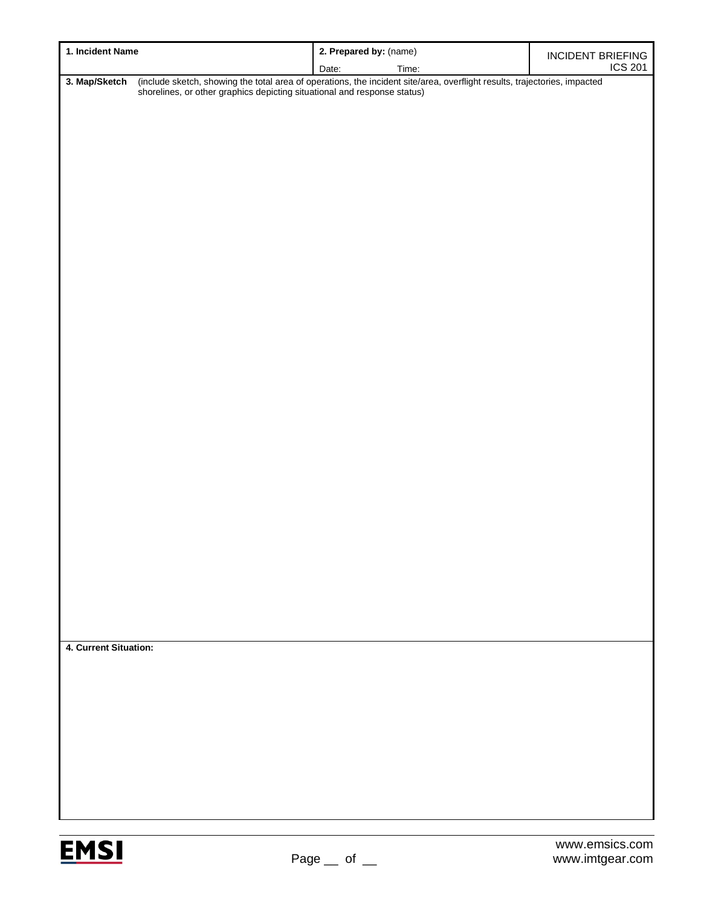| 1. Incident Name      |                                                                                                                                                                                                    | 2. Prepared by: (name) | <b>INCIDENT BRIEFING</b> |  |  |
|-----------------------|----------------------------------------------------------------------------------------------------------------------------------------------------------------------------------------------------|------------------------|--------------------------|--|--|
|                       |                                                                                                                                                                                                    | Date:<br>Time:         | <b>ICS 201</b>           |  |  |
| 3. Map/Sketch         | (include sketch, showing the total area of operations, the incident site/area, overflight results, trajectories, impacted shorelines, or other graphics depicting situational and response status) |                        |                          |  |  |
|                       |                                                                                                                                                                                                    |                        |                          |  |  |
|                       |                                                                                                                                                                                                    |                        |                          |  |  |
|                       |                                                                                                                                                                                                    |                        |                          |  |  |
|                       |                                                                                                                                                                                                    |                        |                          |  |  |
|                       |                                                                                                                                                                                                    |                        |                          |  |  |
|                       |                                                                                                                                                                                                    |                        |                          |  |  |
|                       |                                                                                                                                                                                                    |                        |                          |  |  |
|                       |                                                                                                                                                                                                    |                        |                          |  |  |
|                       |                                                                                                                                                                                                    |                        |                          |  |  |
|                       |                                                                                                                                                                                                    |                        |                          |  |  |
|                       |                                                                                                                                                                                                    |                        |                          |  |  |
|                       |                                                                                                                                                                                                    |                        |                          |  |  |
|                       |                                                                                                                                                                                                    |                        |                          |  |  |
|                       |                                                                                                                                                                                                    |                        |                          |  |  |
|                       |                                                                                                                                                                                                    |                        |                          |  |  |
|                       |                                                                                                                                                                                                    |                        |                          |  |  |
|                       |                                                                                                                                                                                                    |                        |                          |  |  |
|                       |                                                                                                                                                                                                    |                        |                          |  |  |
|                       |                                                                                                                                                                                                    |                        |                          |  |  |
|                       |                                                                                                                                                                                                    |                        |                          |  |  |
|                       |                                                                                                                                                                                                    |                        |                          |  |  |
|                       |                                                                                                                                                                                                    |                        |                          |  |  |
|                       |                                                                                                                                                                                                    |                        |                          |  |  |
|                       |                                                                                                                                                                                                    |                        |                          |  |  |
|                       |                                                                                                                                                                                                    |                        |                          |  |  |
|                       |                                                                                                                                                                                                    |                        |                          |  |  |
|                       |                                                                                                                                                                                                    |                        |                          |  |  |
|                       |                                                                                                                                                                                                    |                        |                          |  |  |
|                       |                                                                                                                                                                                                    |                        |                          |  |  |
|                       |                                                                                                                                                                                                    |                        |                          |  |  |
|                       |                                                                                                                                                                                                    |                        |                          |  |  |
|                       |                                                                                                                                                                                                    |                        |                          |  |  |
| 4. Current Situation: |                                                                                                                                                                                                    |                        |                          |  |  |
|                       |                                                                                                                                                                                                    |                        |                          |  |  |
|                       |                                                                                                                                                                                                    |                        |                          |  |  |
|                       |                                                                                                                                                                                                    |                        |                          |  |  |
|                       |                                                                                                                                                                                                    |                        |                          |  |  |
|                       |                                                                                                                                                                                                    |                        |                          |  |  |
|                       |                                                                                                                                                                                                    |                        |                          |  |  |
|                       |                                                                                                                                                                                                    |                        |                          |  |  |
|                       |                                                                                                                                                                                                    |                        |                          |  |  |
|                       |                                                                                                                                                                                                    |                        |                          |  |  |
|                       |                                                                                                                                                                                                    |                        |                          |  |  |

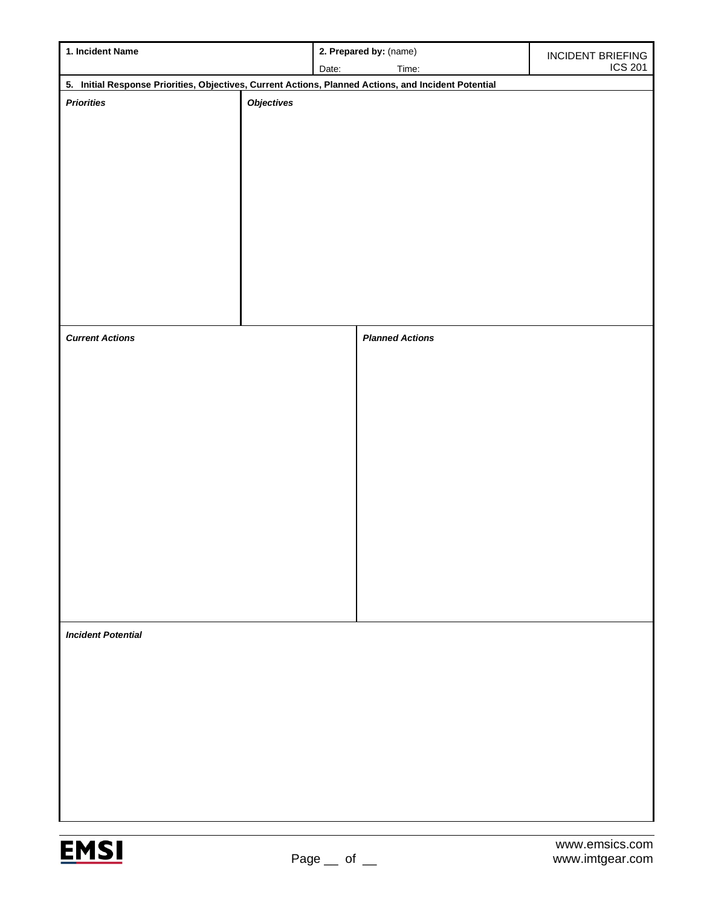| 1. Incident Name                                                                                                          |                   | 2. Prepared by: (name) |                        | INCIDENT BRIEFING |  |  |  |
|---------------------------------------------------------------------------------------------------------------------------|-------------------|------------------------|------------------------|-------------------|--|--|--|
|                                                                                                                           |                   | Date:                  | Time:                  | <b>ICS 201</b>    |  |  |  |
| 5. Initial Response Priorities, Objectives, Current Actions, Planned Actions, and Incident Potential<br><b>Priorities</b> |                   |                        |                        |                   |  |  |  |
|                                                                                                                           | <b>Objectives</b> |                        |                        |                   |  |  |  |
|                                                                                                                           |                   |                        |                        |                   |  |  |  |
|                                                                                                                           |                   |                        |                        |                   |  |  |  |
|                                                                                                                           |                   |                        |                        |                   |  |  |  |
|                                                                                                                           |                   |                        |                        |                   |  |  |  |
|                                                                                                                           |                   |                        |                        |                   |  |  |  |
|                                                                                                                           |                   |                        |                        |                   |  |  |  |
|                                                                                                                           |                   |                        |                        |                   |  |  |  |
|                                                                                                                           |                   |                        |                        |                   |  |  |  |
|                                                                                                                           |                   |                        |                        |                   |  |  |  |
|                                                                                                                           |                   |                        |                        |                   |  |  |  |
|                                                                                                                           |                   |                        |                        |                   |  |  |  |
| <b>Current Actions</b>                                                                                                    |                   |                        | <b>Planned Actions</b> |                   |  |  |  |
|                                                                                                                           |                   |                        |                        |                   |  |  |  |
|                                                                                                                           |                   |                        |                        |                   |  |  |  |
|                                                                                                                           |                   |                        |                        |                   |  |  |  |
|                                                                                                                           |                   |                        |                        |                   |  |  |  |
|                                                                                                                           |                   |                        |                        |                   |  |  |  |
|                                                                                                                           |                   |                        |                        |                   |  |  |  |
|                                                                                                                           |                   |                        |                        |                   |  |  |  |
|                                                                                                                           |                   |                        |                        |                   |  |  |  |
|                                                                                                                           |                   |                        |                        |                   |  |  |  |
|                                                                                                                           |                   |                        |                        |                   |  |  |  |
|                                                                                                                           |                   |                        |                        |                   |  |  |  |
|                                                                                                                           |                   |                        |                        |                   |  |  |  |
|                                                                                                                           |                   |                        |                        |                   |  |  |  |
|                                                                                                                           |                   |                        |                        |                   |  |  |  |
| <b>Incident Potential</b>                                                                                                 |                   |                        |                        |                   |  |  |  |
|                                                                                                                           |                   |                        |                        |                   |  |  |  |
|                                                                                                                           |                   |                        |                        |                   |  |  |  |
|                                                                                                                           |                   |                        |                        |                   |  |  |  |
|                                                                                                                           |                   |                        |                        |                   |  |  |  |
|                                                                                                                           |                   |                        |                        |                   |  |  |  |
|                                                                                                                           |                   |                        |                        |                   |  |  |  |
|                                                                                                                           |                   |                        |                        |                   |  |  |  |
|                                                                                                                           |                   |                        |                        |                   |  |  |  |
|                                                                                                                           |                   |                        |                        |                   |  |  |  |
|                                                                                                                           |                   |                        |                        |                   |  |  |  |

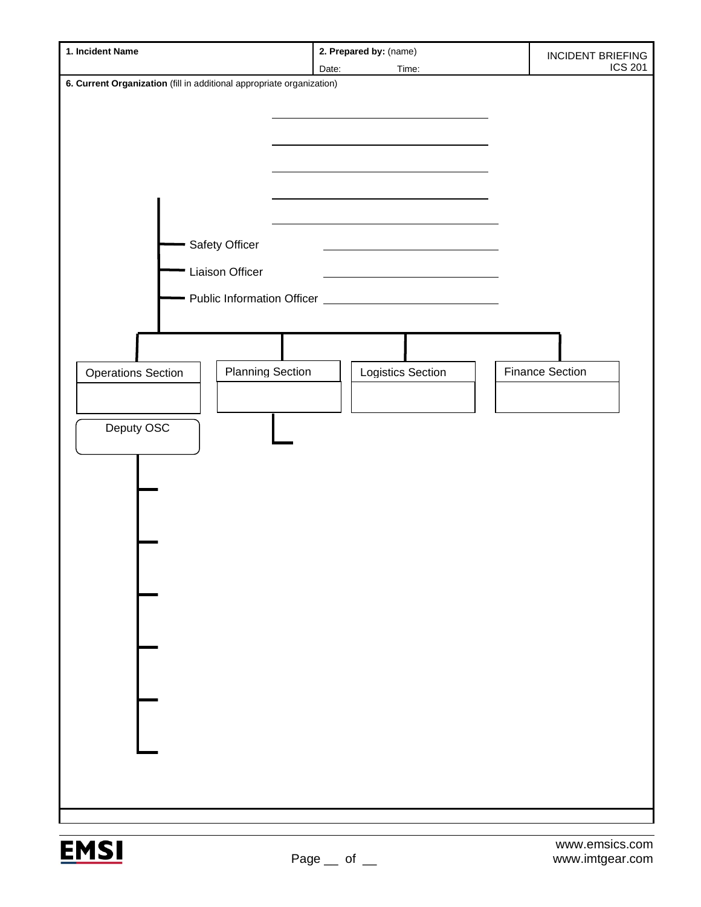| 1. Incident Name                                                                                                                                                                 | 2. Prepared by: (name)   | <b>INCIDENT BRIEFING</b>                 |
|----------------------------------------------------------------------------------------------------------------------------------------------------------------------------------|--------------------------|------------------------------------------|
|                                                                                                                                                                                  | Date:<br>Time:           |                                          |
|                                                                                                                                                                                  |                          |                                          |
| 6. Current Organization (fill in additional appropriate organization)<br>Safety Officer<br>Liaison Officer<br><b>Planning Section</b><br><b>Operations Section</b><br>Deputy OSC | <b>Logistics Section</b> | <b>ICS 201</b><br><b>Finance Section</b> |
|                                                                                                                                                                                  |                          |                                          |
|                                                                                                                                                                                  |                          |                                          |
|                                                                                                                                                                                  |                          |                                          |
|                                                                                                                                                                                  |                          |                                          |
|                                                                                                                                                                                  |                          |                                          |

**EMSI**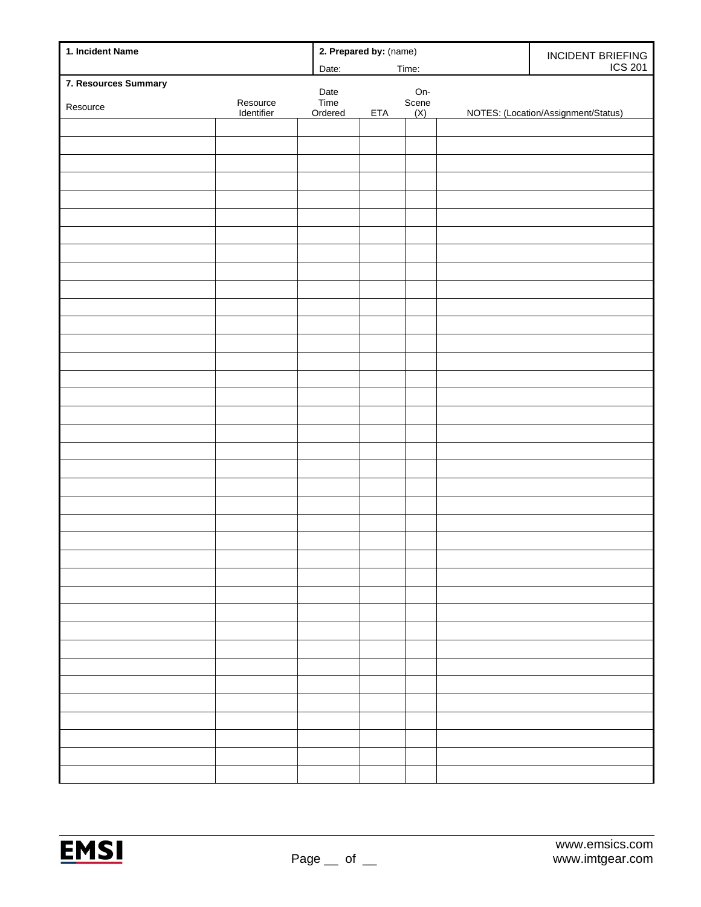| 1. Incident Name     |            | 2. Prepared by: (name) |            |              | INCIDENT BRIEFING |                                     |
|----------------------|------------|------------------------|------------|--------------|-------------------|-------------------------------------|
|                      |            | Date:                  | Time:      |              |                   | <b>ICS 201</b>                      |
| 7. Resources Summary |            | Date                   |            |              |                   |                                     |
| Resource             | Resource   | Time                   |            | On-<br>Scene |                   |                                     |
|                      | Identifier | Ordered                | <b>ETA</b> | (X)          |                   | NOTES: (Location/Assignment/Status) |
|                      |            |                        |            |              |                   |                                     |
|                      |            |                        |            |              |                   |                                     |
|                      |            |                        |            |              |                   |                                     |
|                      |            |                        |            |              |                   |                                     |
|                      |            |                        |            |              |                   |                                     |
|                      |            |                        |            |              |                   |                                     |
|                      |            |                        |            |              |                   |                                     |
|                      |            |                        |            |              |                   |                                     |
|                      |            |                        |            |              |                   |                                     |
|                      |            |                        |            |              |                   |                                     |
|                      |            |                        |            |              |                   |                                     |
|                      |            |                        |            |              |                   |                                     |
|                      |            |                        |            |              |                   |                                     |
|                      |            |                        |            |              |                   |                                     |
|                      |            |                        |            |              |                   |                                     |
|                      |            |                        |            |              |                   |                                     |
|                      |            |                        |            |              |                   |                                     |
|                      |            |                        |            |              |                   |                                     |
|                      |            |                        |            |              |                   |                                     |
|                      |            |                        |            |              |                   |                                     |
|                      |            |                        |            |              |                   |                                     |
|                      |            |                        |            |              |                   |                                     |
|                      |            |                        |            |              |                   |                                     |
|                      |            |                        |            |              |                   |                                     |
|                      |            |                        |            |              |                   |                                     |
|                      |            |                        |            |              |                   |                                     |
|                      |            |                        |            |              |                   |                                     |
|                      |            |                        |            |              |                   |                                     |
|                      |            |                        |            |              |                   |                                     |
|                      |            |                        |            |              |                   |                                     |
|                      |            |                        |            |              |                   |                                     |
|                      |            |                        |            |              |                   |                                     |
|                      |            |                        |            |              |                   |                                     |
|                      |            |                        |            |              |                   |                                     |
|                      |            |                        |            |              |                   |                                     |
|                      |            |                        |            |              |                   |                                     |
|                      |            |                        |            |              |                   |                                     |